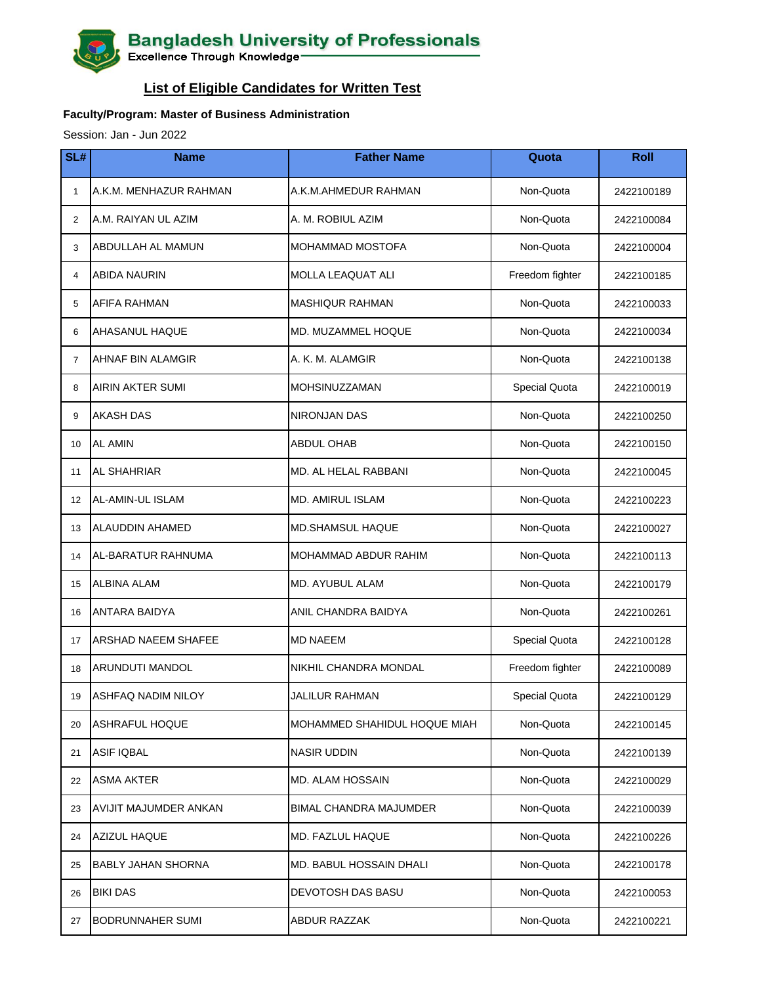## **Bangladesh University of Professionals**<br>Excellence Through Knowledge

## **List of Eligible Candidates for Written Test**

## **Faculty/Program: Master of Business Administration**

Session: Jan - Jun 2022

| SL#            | <b>Name</b>                | <b>Father Name</b>            | Quota           | <b>Roll</b> |
|----------------|----------------------------|-------------------------------|-----------------|-------------|
| $\mathbf{1}$   | A.K.M. MENHAZUR RAHMAN     | A.K.M.AHMEDUR RAHMAN          | Non-Quota       | 2422100189  |
| $\overline{2}$ | A.M. RAIYAN UL AZIM        | A. M. ROBIUL AZIM             | Non-Quota       | 2422100084  |
| 3              | ABDULLAH AL MAMUN          | MOHAMMAD MOSTOFA              | Non-Quota       | 2422100004  |
| $\overline{4}$ | <b>ABIDA NAURIN</b>        | <b>MOLLA LEAQUAT ALI</b>      | Freedom fighter | 2422100185  |
| 5              | AFIFA RAHMAN               | <b>MASHIQUR RAHMAN</b>        | Non-Quota       | 2422100033  |
| 6              | <b>AHASANUL HAQUE</b>      | <b>MD. MUZAMMEL HOQUE</b>     | Non-Quota       | 2422100034  |
| $\overline{7}$ | AHNAF BIN ALAMGIR          | A. K. M. ALAMGIR              | Non-Quota       | 2422100138  |
| 8              | <b>AIRIN AKTER SUMI</b>    | MOHSINUZZAMAN                 | Special Quota   | 2422100019  |
| 9              | <b>AKASH DAS</b>           | <b>NIRONJAN DAS</b>           | Non-Quota       | 2422100250  |
| 10             | <b>AL AMIN</b>             | <b>ABDUL OHAB</b>             | Non-Quota       | 2422100150  |
| 11             | <b>AL SHAHRIAR</b>         | MD. AL HELAL RABBANI          | Non-Quota       | 2422100045  |
| 12             | AL-AMIN-UL ISLAM           | <b>MD. AMIRUL ISLAM</b>       | Non-Quota       | 2422100223  |
| 13             | <b>ALAUDDIN AHAMED</b>     | <b>MD.SHAMSUL HAQUE</b>       | Non-Quota       | 2422100027  |
| 14             | <b>AL-BARATUR RAHNUMA</b>  | MOHAMMAD ABDUR RAHIM          | Non-Quota       | 2422100113  |
| 15             | <b>ALBINA ALAM</b>         | MD. AYUBUL ALAM               | Non-Quota       | 2422100179  |
| 16             | <b>ANTARA BAIDYA</b>       | ANIL CHANDRA BAIDYA           | Non-Quota       | 2422100261  |
| 17             | <b>ARSHAD NAEEM SHAFEE</b> | <b>MD NAEEM</b>               | Special Quota   | 2422100128  |
| 18             | ARUNDUTI MANDOL            | NIKHIL CHANDRA MONDAL         | Freedom fighter | 2422100089  |
| 19             | ASHFAQ NADIM NILOY         | <b>JALILUR RAHMAN</b>         | Special Quota   | 2422100129  |
| 20             | <b>ASHRAFUL HOQUE</b>      | MOHAMMED SHAHIDUL HOQUE MIAH  | Non-Quota       | 2422100145  |
| 21             | <b>ASIF IQBAL</b>          | NASIR UDDIN                   | Non-Quota       | 2422100139  |
| 22             | <b>ASMA AKTER</b>          | <b>MD. ALAM HOSSAIN</b>       | Non-Quota       | 2422100029  |
| 23             | AVIJIT MAJUMDER ANKAN      | <b>BIMAL CHANDRA MAJUMDER</b> | Non-Quota       | 2422100039  |
| 24             | AZIZUL HAQUE               | MD. FAZLUL HAQUE              | Non-Quota       | 2422100226  |
| 25             | <b>BABLY JAHAN SHORNA</b>  | MD. BABUL HOSSAIN DHALI       | Non-Quota       | 2422100178  |
| 26             | <b>BIKI DAS</b>            | DEVOTOSH DAS BASU             | Non-Quota       | 2422100053  |
| 27             | <b>BODRUNNAHER SUMI</b>    | ABDUR RAZZAK                  | Non-Quota       | 2422100221  |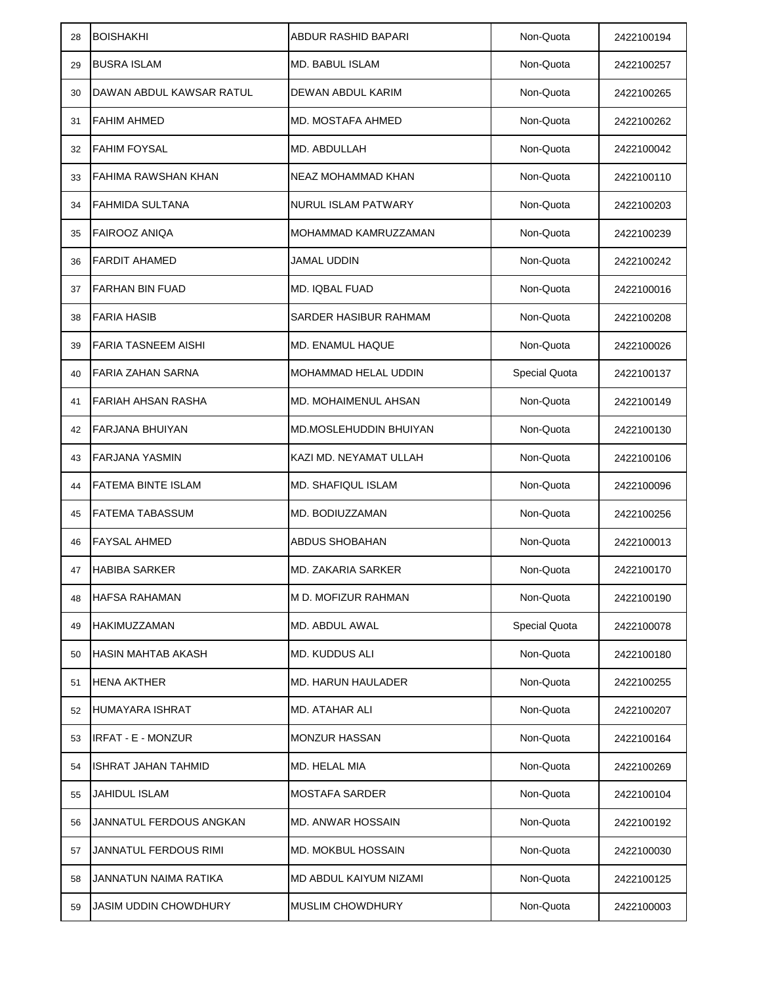| 28 | <b>BOISHAKHI</b>             | <b>ABDUR RASHID BAPARI</b> | Non-Quota     | 2422100194 |
|----|------------------------------|----------------------------|---------------|------------|
| 29 | <b>BUSRA ISLAM</b>           | <b>MD. BABUL ISLAM</b>     | Non-Quota     | 2422100257 |
| 30 | DAWAN ABDUL KAWSAR RATUL     | DEWAN ABDUL KARIM          | Non-Quota     | 2422100265 |
| 31 | <b>FAHIM AHMED</b>           | <b>MD. MOSTAFA AHMED</b>   | Non-Quota     | 2422100262 |
| 32 | <b>FAHIM FOYSAL</b>          | MD. ABDULLAH               | Non-Quota     | 2422100042 |
| 33 | <b>FAHIMA RAWSHAN KHAN</b>   | <b>NEAZ MOHAMMAD KHAN</b>  | Non-Quota     | 2422100110 |
| 34 | <b>FAHMIDA SULTANA</b>       | <b>NURUL ISLAM PATWARY</b> | Non-Quota     | 2422100203 |
| 35 | <b>FAIROOZ ANIQA</b>         | MOHAMMAD KAMRUZZAMAN       | Non-Quota     | 2422100239 |
| 36 | <b>FARDIT AHAMED</b>         | JAMAL UDDIN                | Non-Quota     | 2422100242 |
| 37 | <b>FARHAN BIN FUAD</b>       | MD. IQBAL FUAD             | Non-Quota     | 2422100016 |
| 38 | <b>FARIA HASIB</b>           | SARDER HASIBUR RAHMAM      | Non-Quota     | 2422100208 |
| 39 | <b>FARIA TASNEEM AISHI</b>   | <b>MD. ENAMUL HAQUE</b>    | Non-Quota     | 2422100026 |
| 40 | FARIA ZAHAN SARNA            | MOHAMMAD HELAL UDDIN       | Special Quota | 2422100137 |
| 41 | FARIAH AHSAN RASHA           | MD. MOHAIMENUL AHSAN       | Non-Quota     | 2422100149 |
| 42 | <b>FARJANA BHUIYAN</b>       | MD.MOSLEHUDDIN BHUIYAN     | Non-Quota     | 2422100130 |
| 43 | <b>FARJANA YASMIN</b>        | KAZI MD. NEYAMAT ULLAH     | Non-Quota     | 2422100106 |
| 44 | <b>FATEMA BINTE ISLAM</b>    | <b>MD. SHAFIQUL ISLAM</b>  | Non-Quota     | 2422100096 |
| 45 | <b>FATEMA TABASSUM</b>       | MD. BODIUZZAMAN            | Non-Quota     | 2422100256 |
| 46 | <b>FAYSAL AHMED</b>          | <b>ABDUS SHOBAHAN</b>      | Non-Quota     | 2422100013 |
| 47 | <b>HABIBA SARKER</b>         | <b>MD. ZAKARIA SARKER</b>  | Non-Quota     | 2422100170 |
| 48 | <b>HAFSA RAHAMAN</b>         | M D. MOFIZUR RAHMAN        | Non-Quota     | 2422100190 |
| 49 | <b>HAKIMUZZAMAN</b>          | MD. ABDUL AWAL             | Special Quota | 2422100078 |
| 50 | HASIN MAHTAB AKASH           | <b>MD. KUDDUS ALI</b>      | Non-Quota     | 2422100180 |
| 51 | <b>HENA AKTHER</b>           | <b>MD. HARUN HAULADER</b>  | Non-Quota     | 2422100255 |
| 52 | HUMAYARA ISHRAT              | <b>MD. ATAHAR ALI</b>      | Non-Quota     | 2422100207 |
| 53 | <b>IRFAT - E - MONZUR</b>    | <b>MONZUR HASSAN</b>       | Non-Quota     | 2422100164 |
| 54 | ISHRAT JAHAN TAHMID          | MD. HELAL MIA              | Non-Quota     | 2422100269 |
| 55 | <b>JAHIDUL ISLAM</b>         | <b>MOSTAFA SARDER</b>      | Non-Quota     | 2422100104 |
| 56 | JANNATUL FERDOUS ANGKAN      | <b>MD. ANWAR HOSSAIN</b>   | Non-Quota     | 2422100192 |
| 57 | JANNATUL FERDOUS RIMI        | <b>MD. MOKBUL HOSSAIN</b>  | Non-Quota     | 2422100030 |
| 58 | JANNATUN NAIMA RATIKA        | MD ABDUL KAIYUM NIZAMI     | Non-Quota     | 2422100125 |
| 59 | <b>JASIM UDDIN CHOWDHURY</b> | MUSLIM CHOWDHURY           | Non-Quota     | 2422100003 |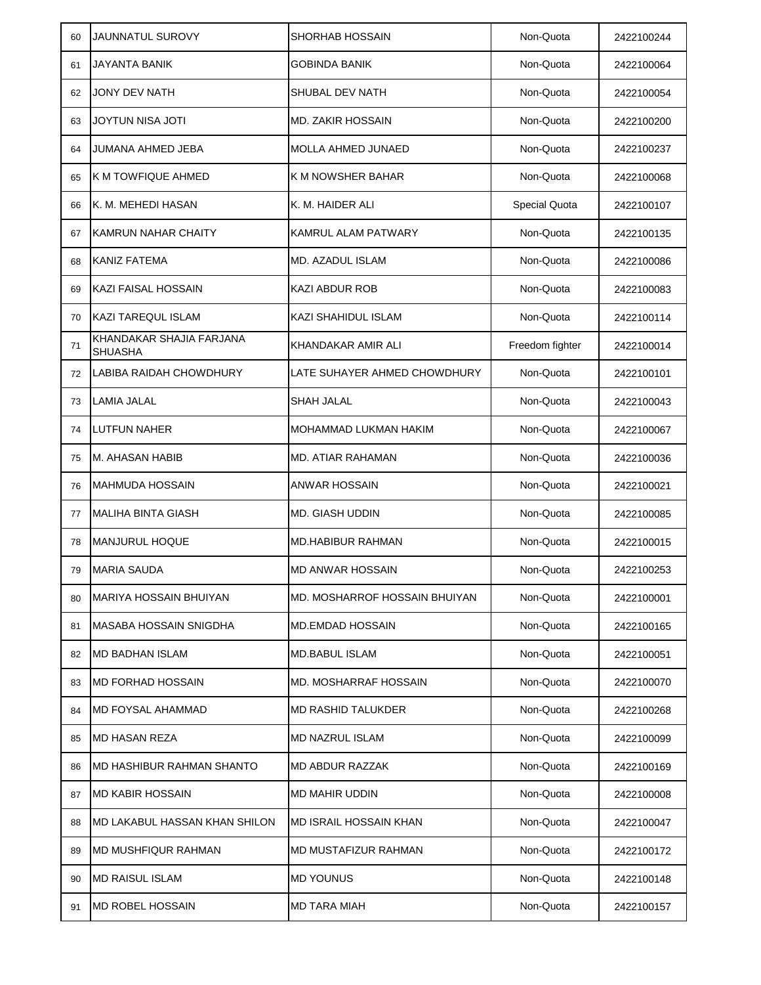| 60 | <b>JAUNNATUL SUROVY</b>                    | <b>SHORHAB HOSSAIN</b>        | Non-Quota       | 2422100244 |
|----|--------------------------------------------|-------------------------------|-----------------|------------|
| 61 | JAYANTA BANIK                              | GOBINDA BANIK                 | Non-Quota       | 2422100064 |
| 62 | JONY DEV NATH                              | SHUBAL DEV NATH               | Non-Quota       | 2422100054 |
| 63 | JOYTUN NISA JOTI                           | <b>MD. ZAKIR HOSSAIN</b>      | Non-Quota       | 2422100200 |
| 64 | JUMANA AHMED JEBA                          | <b>MOLLA AHMED JUNAED</b>     | Non-Quota       | 2422100237 |
| 65 | <b>K M TOWFIQUE AHMED</b>                  | K M NOWSHER BAHAR             | Non-Quota       | 2422100068 |
| 66 | K. M. MEHEDI HASAN                         | K. M. HAIDER ALI              | Special Quota   | 2422100107 |
| 67 | <b>KAMRUN NAHAR CHAITY</b>                 | KAMRUL ALAM PATWARY           | Non-Quota       | 2422100135 |
| 68 | <b>KANIZ FATEMA</b>                        | MD. AZADUL ISLAM              | Non-Quota       | 2422100086 |
| 69 | KAZI FAISAL HOSSAIN                        | <b>KAZI ABDUR ROB</b>         | Non-Quota       | 2422100083 |
| 70 | <b>KAZI TAREQUL ISLAM</b>                  | KAZI SHAHIDUL ISLAM           | Non-Quota       | 2422100114 |
| 71 | KHANDAKAR SHAJIA FARJANA<br><b>SHUASHA</b> | KHANDAKAR AMIR ALI            | Freedom fighter | 2422100014 |
| 72 | <b>LABIBA RAIDAH CHOWDHURY</b>             | LATE SUHAYER AHMED CHOWDHURY  | Non-Quota       | 2422100101 |
| 73 | <b>LAMIA JALAL</b>                         | <b>SHAH JALAL</b>             | Non-Quota       | 2422100043 |
| 74 | <b>LUTFUN NAHER</b>                        | MOHAMMAD LUKMAN HAKIM         | Non-Quota       | 2422100067 |
| 75 | <b>M. AHASAN HABIB</b>                     | <b>MD. ATIAR RAHAMAN</b>      | Non-Quota       | 2422100036 |
| 76 | <b>MAHMUDA HOSSAIN</b>                     | <b>ANWAR HOSSAIN</b>          | Non-Quota       | 2422100021 |
| 77 | <b>MALIHA BINTA GIASH</b>                  | MD. GIASH UDDIN               | Non-Quota       | 2422100085 |
| 78 | <b>MANJURUL HOQUE</b>                      | <b>MD.HABIBUR RAHMAN</b>      | Non-Quota       | 2422100015 |
| 79 | <b>MARIA SAUDA</b>                         | <b>MD ANWAR HOSSAIN</b>       | Non-Quota       | 2422100253 |
| 80 | <b>MARIYA HOSSAIN BHUIYAN</b>              | MD. MOSHARROF HOSSAIN BHUIYAN | Non-Quota       | 2422100001 |
| 81 | MASABA HOSSAIN SNIGDHA                     | <b>MD.EMDAD HOSSAIN</b>       | Non-Quota       | 2422100165 |
| 82 | MD BADHAN ISLAM                            | MD.BABUL ISLAM                | Non-Quota       | 2422100051 |
| 83 | <b>MD FORHAD HOSSAIN</b>                   | MD. MOSHARRAF HOSSAIN         | Non-Quota       | 2422100070 |
| 84 | MD FOYSAL AHAMMAD                          | MD RASHID TALUKDER            | Non-Quota       | 2422100268 |
| 85 | MD HASAN REZA                              | <b>MD NAZRUL ISLAM</b>        | Non-Quota       | 2422100099 |
| 86 | MD HASHIBUR RAHMAN SHANTO                  | MD ABDUR RAZZAK               | Non-Quota       | 2422100169 |
| 87 | <b>MD KABIR HOSSAIN</b>                    | MD MAHIR UDDIN                | Non-Quota       | 2422100008 |
| 88 | MD LAKABUL HASSAN KHAN SHILON              | MD ISRAIL HOSSAIN KHAN        | Non-Quota       | 2422100047 |
| 89 | <b>MD MUSHFIQUR RAHMAN</b>                 | MD MUSTAFIZUR RAHMAN          | Non-Quota       | 2422100172 |
| 90 | <b>MD RAISUL ISLAM</b>                     | <b>MD YOUNUS</b>              | Non-Quota       | 2422100148 |
| 91 | <b>IMD ROBEL HOSSAIN</b>                   | MD TARA MIAH                  | Non-Quota       | 2422100157 |
|    |                                            |                               |                 |            |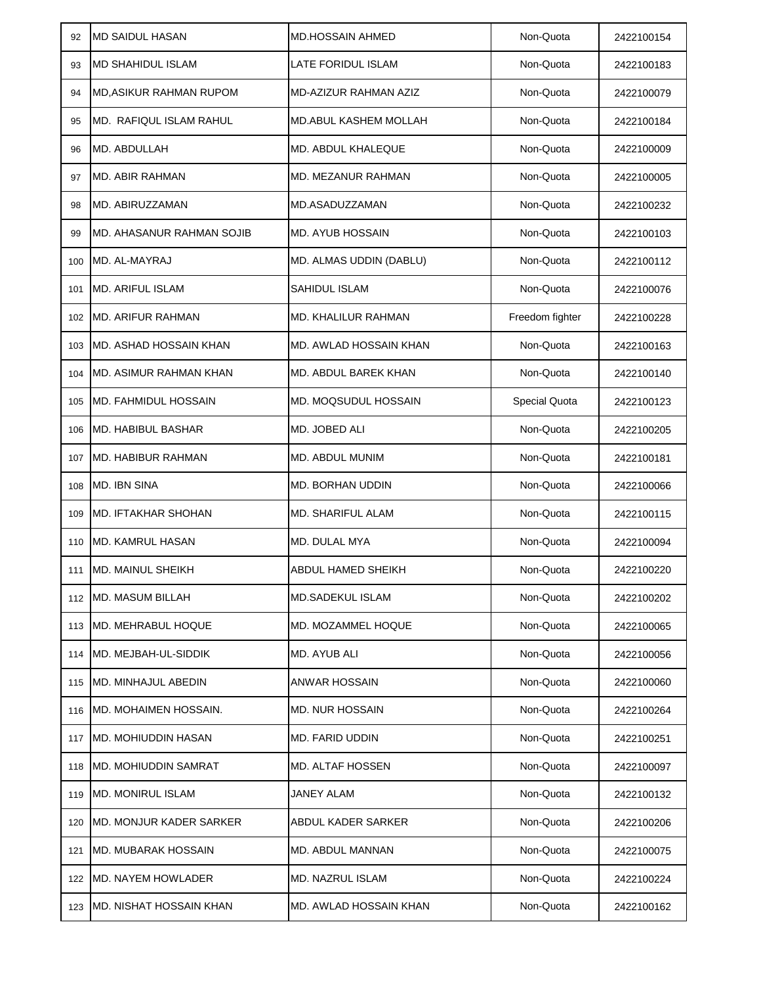| 92  | <b>MD SAIDUL HASAN</b>         | <b>MD.HOSSAIN AHMED</b>      | Non-Quota            | 2422100154 |
|-----|--------------------------------|------------------------------|----------------------|------------|
| 93  | <b>MD SHAHIDUL ISLAM</b>       | LATE FORIDUL ISLAM           | Non-Quota            | 2422100183 |
| 94  | <b>MD, ASIKUR RAHMAN RUPOM</b> | MD-AZIZUR RAHMAN AZIZ        | Non-Quota            | 2422100079 |
| 95  | MD. RAFIQUL ISLAM RAHUL        | <b>MD.ABUL KASHEM MOLLAH</b> | Non-Quota            | 2422100184 |
| 96  | MD. ABDULLAH                   | MD. ABDUL KHALEQUE           | Non-Quota            | 2422100009 |
| 97  | <b>MD. ABIR RAHMAN</b>         | <b>MD. MEZANUR RAHMAN</b>    | Non-Quota            | 2422100005 |
| 98  | MD. ABIRUZZAMAN                | MD.ASADUZZAMAN               | Non-Quota            | 2422100232 |
| 99  | MD. AHASANUR RAHMAN SOJIB      | MD. AYUB HOSSAIN             | Non-Quota            | 2422100103 |
| 100 | MD. AL-MAYRAJ                  | MD. ALMAS UDDIN (DABLU)      | Non-Quota            | 2422100112 |
| 101 | <b>MD. ARIFUL ISLAM</b>        | <b>SAHIDUL ISLAM</b>         | Non-Quota            | 2422100076 |
| 102 | MD. ARIFUR RAHMAN              | <b>MD. KHALILUR RAHMAN</b>   | Freedom fighter      | 2422100228 |
| 103 | IMD. ASHAD HOSSAIN KHAN        | MD. AWLAD HOSSAIN KHAN       | Non-Quota            | 2422100163 |
| 104 | <b>MD. ASIMUR RAHMAN KHAN</b>  | <b>MD. ABDUL BAREK KHAN</b>  | Non-Quota            | 2422100140 |
| 105 | <b>MD. FAHMIDUL HOSSAIN</b>    | MD. MOQSUDUL HOSSAIN         | <b>Special Quota</b> | 2422100123 |
| 106 | <b>MD. HABIBUL BASHAR</b>      | MD. JOBED ALI                | Non-Quota            | 2422100205 |
| 107 | <b>MD. HABIBUR RAHMAN</b>      | <b>MD. ABDUL MUNIM</b>       | Non-Quota            | 2422100181 |
| 108 | <b>MD. IBN SINA</b>            | MD. BORHAN UDDIN             | Non-Quota            | 2422100066 |
| 109 | <b>MD. IFTAKHAR SHOHAN</b>     | MD. SHARIFUL ALAM            | Non-Quota            | 2422100115 |
| 110 | <b>MD. KAMRUL HASAN</b>        | MD. DULAL MYA                | Non-Quota            | 2422100094 |
| 111 | <b>MD. MAINUL SHEIKH</b>       | ABDUL HAMED SHEIKH           | Non-Quota            | 2422100220 |
| 112 | <b>MD. MASUM BILLAH</b>        | <b>MD.SADEKUL ISLAM</b>      | Non-Quota            | 2422100202 |
| 113 | MD. MEHRABUL HOQUE             | MD. MOZAMMEL HOQUE           | Non-Quota            | 2422100065 |
| 114 | MD. MEJBAH-UL-SIDDIK           | MD. AYUB ALI                 | Non-Quota            | 2422100056 |
| 115 | <b>MD. MINHAJUL ABEDIN</b>     | ANWAR HOSSAIN                | Non-Quota            | 2422100060 |
| 116 | MD. MOHAIMEN HOSSAIN.          | <b>MD. NUR HOSSAIN</b>       | Non-Quota            | 2422100264 |
| 117 | <b>MD. MOHIUDDIN HASAN</b>     | <b>MD. FARID UDDIN</b>       | Non-Quota            | 2422100251 |
| 118 | MD. MOHIUDDIN SAMRAT           | <b>MD. ALTAF HOSSEN</b>      | Non-Quota            | 2422100097 |
| 119 | <b>MD. MONIRUL ISLAM</b>       | JANEY ALAM                   | Non-Quota            | 2422100132 |
| 120 | IMD. MONJUR KADER SARKER       | ABDUL KADER SARKER           | Non-Quota            | 2422100206 |
| 121 | <b>MD. MUBARAK HOSSAIN</b>     | MD. ABDUL MANNAN             | Non-Quota            | 2422100075 |
| 122 | <b>MD. NAYEM HOWLADER</b>      | MD. NAZRUL ISLAM             | Non-Quota            | 2422100224 |
| 123 | <b>MD. NISHAT HOSSAIN KHAN</b> | MD. AWLAD HOSSAIN KHAN       | Non-Quota            | 2422100162 |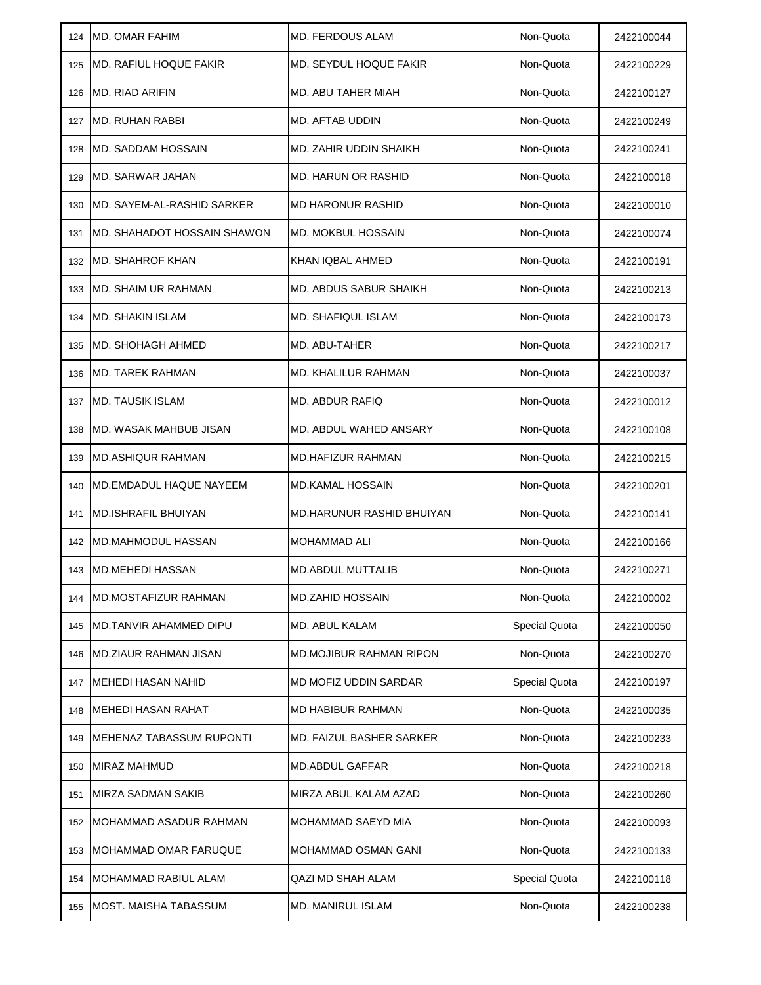| 124 | <b>MD. OMAR FAHIM</b>           | <b>MD. FERDOUS ALAM</b>         | Non-Quota     | 2422100044 |
|-----|---------------------------------|---------------------------------|---------------|------------|
| 125 | <b>MD. RAFIUL HOQUE FAKIR</b>   | MD. SEYDUL HOQUE FAKIR          | Non-Quota     | 2422100229 |
| 126 | <b>MD. RIAD ARIFIN</b>          | MD. ABU TAHER MIAH              | Non-Quota     | 2422100127 |
| 127 | <b>MD. RUHAN RABBI</b>          | MD. AFTAB UDDIN                 | Non-Quota     | 2422100249 |
| 128 | MD. SADDAM HOSSAIN              | MD. ZAHIR UDDIN SHAIKH          | Non-Quota     | 2422100241 |
| 129 | MD. SARWAR JAHAN                | MD. HARUN OR RASHID             | Non-Quota     | 2422100018 |
| 130 | MD. SAYEM-AL-RASHID SARKER      | <b>MD HARONUR RASHID</b>        | Non-Quota     | 2422100010 |
| 131 | IMD. SHAHADOT HOSSAIN SHAWON    | <b>MD. MOKBUL HOSSAIN</b>       | Non-Quota     | 2422100074 |
| 132 | <b>MD. SHAHROF KHAN</b>         | KHAN IQBAL AHMED                | Non-Quota     | 2422100191 |
| 133 | MD. SHAIM UR RAHMAN             | MD. ABDUS SABUR SHAIKH          | Non-Quota     | 2422100213 |
| 134 | MD. SHAKIN ISLAM                | <b>MD. SHAFIQUL ISLAM</b>       | Non-Quota     | 2422100173 |
| 135 | <b>IMD. SHOHAGH AHMED</b>       | MD. ABU-TAHER                   | Non-Quota     | 2422100217 |
| 136 | <b>MD. TAREK RAHMAN</b>         | MD. KHALILUR RAHMAN             | Non-Quota     | 2422100037 |
| 137 | <b>MD. TAUSIK ISLAM</b>         | MD. ABDUR RAFIQ                 | Non-Quota     | 2422100012 |
| 138 | MD. WASAK MAHBUB JISAN          | MD. ABDUL WAHED ANSARY          | Non-Quota     | 2422100108 |
| 139 | <b>IMD.ASHIQUR RAHMAN</b>       | <b>MD.HAFIZUR RAHMAN</b>        | Non-Quota     | 2422100215 |
| 140 | IMD.EMDADUL HAQUE NAYEEM        | <b>MD.KAMAL HOSSAIN</b>         | Non-Quota     | 2422100201 |
| 141 | <b>MD.ISHRAFIL BHUIYAN</b>      | MD.HARUNUR RASHID BHUIYAN       | Non-Quota     | 2422100141 |
| 142 | <b>MD.MAHMODUL HASSAN</b>       | <b>MOHAMMAD ALI</b>             | Non-Quota     | 2422100166 |
| 143 | <b>MD.MEHEDI HASSAN</b>         | <b>MD.ABDUL MUTTALIB</b>        | Non-Quota     | 2422100271 |
| 144 | IMD.MOSTAFIZUR RAHMAN           | <b>MD.ZAHID HOSSAIN</b>         | Non-Quota     | 2422100002 |
| 145 | MD.TANVIR AHAMMED DIPU          | MD. ABUL KALAM                  | Special Quota | 2422100050 |
| 146 | <b>MD.ZIAUR RAHMAN JISAN</b>    | <b>MD.MOJIBUR RAHMAN RIPON</b>  | Non-Quota     | 2422100270 |
| 147 | <b>MEHEDI HASAN NAHID</b>       | MD MOFIZ UDDIN SARDAR           | Special Quota | 2422100197 |
| 148 | <b>MEHEDI HASAN RAHAT</b>       | <b>MD HABIBUR RAHMAN</b>        | Non-Quota     | 2422100035 |
| 149 | <b>MEHENAZ TABASSUM RUPONTI</b> | <b>MD. FAIZUL BASHER SARKER</b> | Non-Quota     | 2422100233 |
| 150 | MIRAZ MAHMUD                    | <b>MD.ABDUL GAFFAR</b>          | Non-Quota     | 2422100218 |
| 151 | MIRZA SADMAN SAKIB              | MIRZA ABUL KALAM AZAD           | Non-Quota     | 2422100260 |
| 152 | MOHAMMAD ASADUR RAHMAN          | MOHAMMAD SAEYD MIA              | Non-Quota     | 2422100093 |
| 153 | MOHAMMAD OMAR FARUQUE           | MOHAMMAD OSMAN GANI             | Non-Quota     | 2422100133 |
| 154 | MOHAMMAD RABIUL ALAM            | QAZI MD SHAH ALAM               | Special Quota | 2422100118 |
| 155 | <b>MOST. MAISHA TABASSUM</b>    | <b>MD. MANIRUL ISLAM</b>        | Non-Quota     | 2422100238 |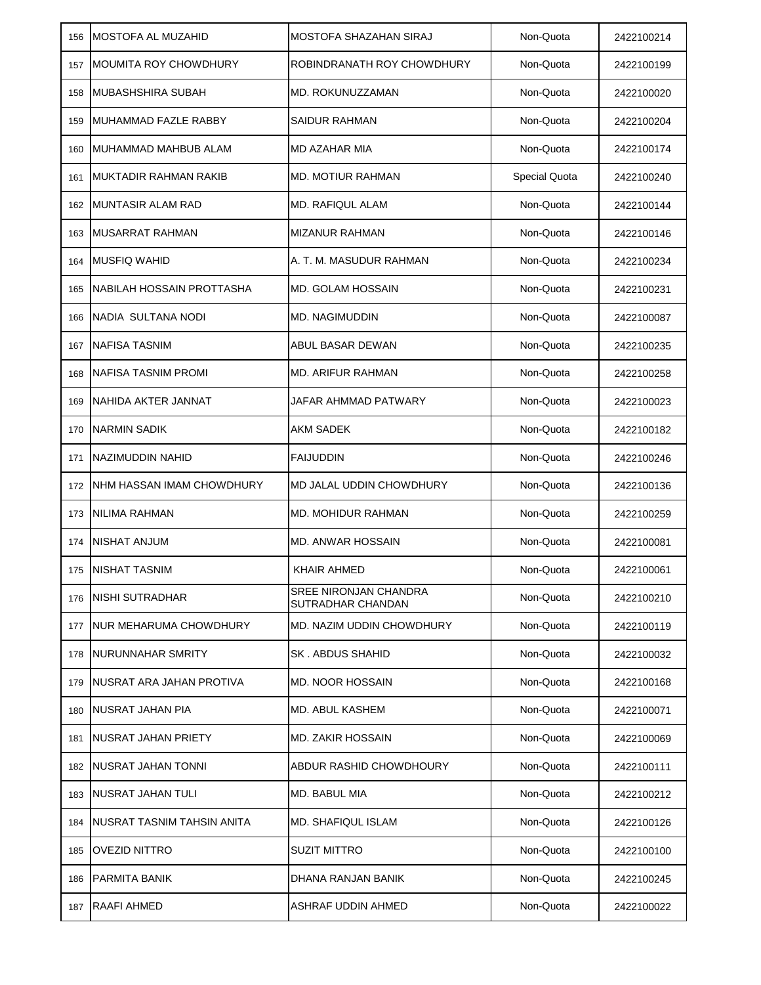| 156 | <b>MOSTOFA AL MUZAHID</b>    | <b>MOSTOFA SHAZAHAN SIRAJ</b>              | Non-Quota            | 2422100214 |
|-----|------------------------------|--------------------------------------------|----------------------|------------|
| 157 | <b>MOUMITA ROY CHOWDHURY</b> | ROBINDRANATH ROY CHOWDHURY                 | Non-Quota            | 2422100199 |
| 158 | MUBASHSHIRA SUBAH            | <b>MD. ROKUNUZZAMAN</b>                    | Non-Quota            | 2422100020 |
| 159 | MUHAMMAD FAZLE RABBY         | <b>SAIDUR RAHMAN</b>                       | Non-Quota            | 2422100204 |
| 160 | MUHAMMAD MAHBUB ALAM         | <b>MD AZAHAR MIA</b>                       | Non-Quota            | 2422100174 |
| 161 | MUKTADIR RAHMAN RAKIB        | <b>MD. MOTIUR RAHMAN</b>                   | <b>Special Quota</b> | 2422100240 |
| 162 | <b>IMUNTASIR ALAM RAD</b>    | <b>MD. RAFIQUL ALAM</b>                    | Non-Quota            | 2422100144 |
| 163 | <b>MUSARRAT RAHMAN</b>       | <b>MIZANUR RAHMAN</b>                      | Non-Quota            | 2422100146 |
| 164 | <b>MUSFIQ WAHID</b>          | A. T. M. MASUDUR RAHMAN                    | Non-Quota            | 2422100234 |
| 165 | NABILAH HOSSAIN PROTTASHA    | MD. GOLAM HOSSAIN                          | Non-Quota            | 2422100231 |
| 166 | NADIA SULTANA NODI           | <b>MD. NAGIMUDDIN</b>                      | Non-Quota            | 2422100087 |
| 167 | NAFISA TASNIM                | ABUL BASAR DEWAN                           | Non-Quota            | 2422100235 |
| 168 | NAFISA TASNIM PROMI          | <b>MD. ARIFUR RAHMAN</b>                   | Non-Quota            | 2422100258 |
| 169 | NAHIDA AKTER JANNAT          | JAFAR AHMMAD PATWARY                       | Non-Quota            | 2422100023 |
| 170 | <b>NARMIN SADIK</b>          | <b>AKM SADEK</b>                           | Non-Quota            | 2422100182 |
| 171 | NAZIMUDDIN NAHID             | <b>FAIJUDDIN</b>                           | Non-Quota            | 2422100246 |
| 172 | NHM HASSAN IMAM CHOWDHURY    | MD JALAL UDDIN CHOWDHURY                   | Non-Quota            | 2422100136 |
| 173 | <b>NILIMA RAHMAN</b>         | <b>MD. MOHIDUR RAHMAN</b>                  | Non-Quota            | 2422100259 |
| 174 | NISHAT ANJUM                 | <b>MD. ANWAR HOSSAIN</b>                   | Non-Quota            | 2422100081 |
| 175 | NISHAT TASNIM                | <b>KHAIR AHMED</b>                         | Non-Quota            | 2422100061 |
| 176 | <b>INISHI SUTRADHAR</b>      | SREE NIRONJAN CHANDRA<br>SUTRADHAR CHANDAN | Non-Quota            | 2422100210 |
| 177 | NUR MEHARUMA CHOWDHURY       | MD. NAZIM UDDIN CHOWDHURY                  | Non-Quota            | 2422100119 |
| 178 | NURUNNAHAR SMRITY            | SK. ABDUS SHAHID                           | Non-Quota            | 2422100032 |
| 179 | NUSRAT ARA JAHAN PROTIVA     | <b>MD. NOOR HOSSAIN</b>                    | Non-Quota            | 2422100168 |
| 180 | INUSRAT JAHAN PIA            | <b>MD. ABUL KASHEM</b>                     | Non-Quota            | 2422100071 |
| 181 | NUSRAT JAHAN PRIETY          | <b>MD. ZAKIR HOSSAIN</b>                   | Non-Quota            | 2422100069 |
| 182 | NUSRAT JAHAN TONNI           | ABDUR RASHID CHOWDHOURY                    | Non-Quota            | 2422100111 |
| 183 | INUSRAT JAHAN TULI           | MD. BABUL MIA                              | Non-Quota            | 2422100212 |
| 184 | NUSRAT TASNIM TAHSIN ANITA   | MD. SHAFIQUL ISLAM                         | Non-Quota            | 2422100126 |
| 185 | OVEZID NITTRO                | <b>SUZIT MITTRO</b>                        | Non-Quota            | 2422100100 |
| 186 | <b>PARMITA BANIK</b>         | DHANA RANJAN BANIK                         | Non-Quota            | 2422100245 |
| 187 | <b>RAAFI AHMED</b>           | ASHRAF UDDIN AHMED                         | Non-Quota            | 2422100022 |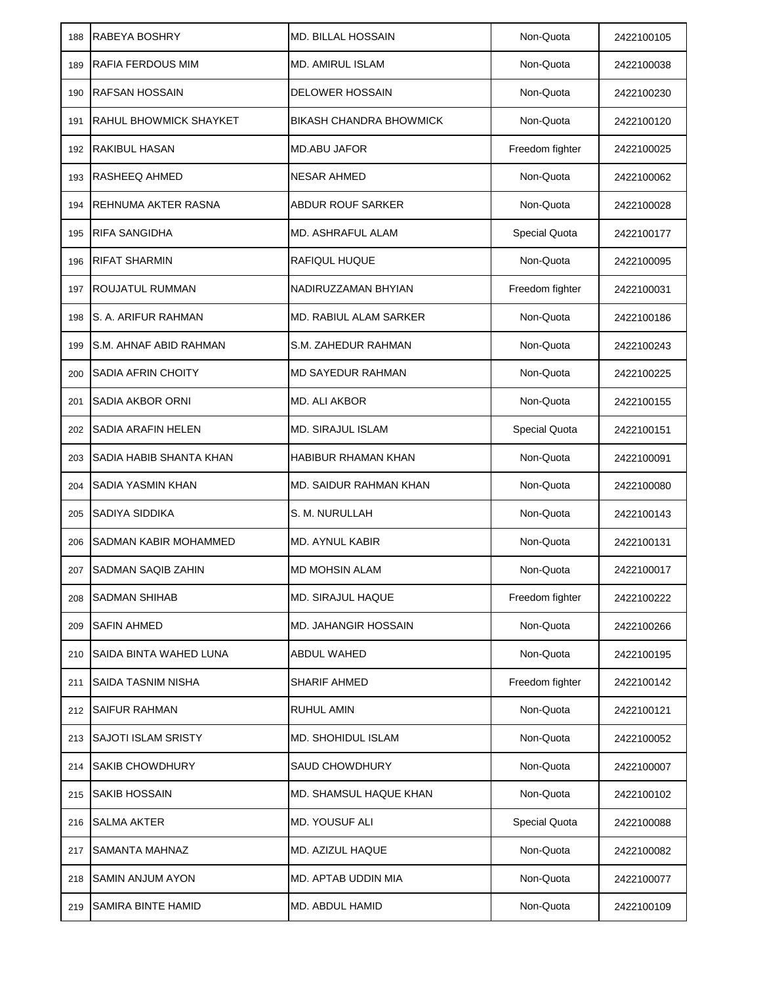| 188 | RABEYA BOSHRY                  | <b>MD. BILLAL HOSSAIN</b>      | Non-Quota       | 2422100105 |
|-----|--------------------------------|--------------------------------|-----------------|------------|
| 189 | <b>RAFIA FERDOUS MIM</b>       | MD. AMIRUL ISLAM               | Non-Quota       | 2422100038 |
| 190 | <b>RAFSAN HOSSAIN</b>          | <b>DELOWER HOSSAIN</b>         | Non-Quota       | 2422100230 |
| 191 | <b>RAHUL BHOWMICK SHAYKET</b>  | <b>BIKASH CHANDRA BHOWMICK</b> | Non-Quota       | 2422100120 |
| 192 | <b>RAKIBUL HASAN</b>           | <b>MD.ABU JAFOR</b>            | Freedom fighter | 2422100025 |
| 193 | <b>RASHEEQ AHMED</b>           | <b>NESAR AHMED</b>             | Non-Quota       | 2422100062 |
| 194 | REHNUMA AKTER RASNA            | <b>ABDUR ROUF SARKER</b>       | Non-Quota       | 2422100028 |
| 195 | <b>RIFA SANGIDHA</b>           | <b>MD. ASHRAFUL ALAM</b>       | Special Quota   | 2422100177 |
| 196 | <b>RIFAT SHARMIN</b>           | <b>RAFIQUL HUQUE</b>           | Non-Quota       | 2422100095 |
| 197 | ROUJATUL RUMMAN                | NADIRUZZAMAN BHYIAN            | Freedom fighter | 2422100031 |
| 198 | S. A. ARIFUR RAHMAN            | MD. RABIUL ALAM SARKER         | Non-Quota       | 2422100186 |
| 199 | S.M. AHNAF ABID RAHMAN         | S.M. ZAHEDUR RAHMAN            | Non-Quota       | 2422100243 |
| 200 | <b>SADIA AFRIN CHOITY</b>      | <b>MD SAYEDUR RAHMAN</b>       | Non-Quota       | 2422100225 |
| 201 | <b>SADIA AKBOR ORNI</b>        | MD. ALI AKBOR                  | Non-Quota       | 2422100155 |
| 202 | <b>SADIA ARAFIN HELEN</b>      | <b>MD. SIRAJUL ISLAM</b>       | Special Quota   | 2422100151 |
| 203 | <b>SADIA HABIB SHANTA KHAN</b> | <b>HABIBUR RHAMAN KHAN</b>     | Non-Quota       | 2422100091 |
| 204 | <b>SADIA YASMIN KHAN</b>       | <b>MD. SAIDUR RAHMAN KHAN</b>  | Non-Quota       | 2422100080 |
| 205 | <b>SADIYA SIDDIKA</b>          | S. M. NURULLAH                 | Non-Quota       | 2422100143 |
| 206 | SADMAN KABIR MOHAMMED          | <b>MD. AYNUL KABIR</b>         | Non-Quota       | 2422100131 |
| 207 | <b>SADMAN SAQIB ZAHIN</b>      | <b>MD MOHSIN ALAM</b>          | Non-Quota       | 2422100017 |
| 208 | <b>SADMAN SHIHAB</b>           | MD. SIRAJUL HAQUE              | Freedom fighter | 2422100222 |
| 209 | <b>SAFIN AHMED</b>             | MD. JAHANGIR HOSSAIN           | Non-Quota       | 2422100266 |
| 210 | SAIDA BINTA WAHED LUNA         | ABDUL WAHED                    | Non-Quota       | 2422100195 |
| 211 | <b>SAIDA TASNIM NISHA</b>      | <b>SHARIF AHMED</b>            | Freedom fighter | 2422100142 |
| 212 | <b>SAIFUR RAHMAN</b>           | <b>RUHUL AMIN</b>              | Non-Quota       | 2422100121 |
| 213 | <b>SAJOTI ISLAM SRISTY</b>     | <b>MD. SHOHIDUL ISLAM</b>      | Non-Quota       | 2422100052 |
| 214 | <b>SAKIB CHOWDHURY</b>         | <b>SAUD CHOWDHURY</b>          | Non-Quota       | 2422100007 |
| 215 | <b>SAKIB HOSSAIN</b>           | <b>MD. SHAMSUL HAQUE KHAN</b>  | Non-Quota       | 2422100102 |
| 216 | <b>SALMA AKTER</b>             | <b>MD. YOUSUF ALI</b>          | Special Quota   | 2422100088 |
| 217 | <b>SAMANTA MAHNAZ</b>          | MD. AZIZUL HAQUE               | Non-Quota       | 2422100082 |
| 218 | SAMIN ANJUM AYON               | MD. APTAB UDDIN MIA            | Non-Quota       | 2422100077 |
| 219 | <b>SAMIRA BINTE HAMID</b>      | MD. ABDUL HAMID                | Non-Quota       | 2422100109 |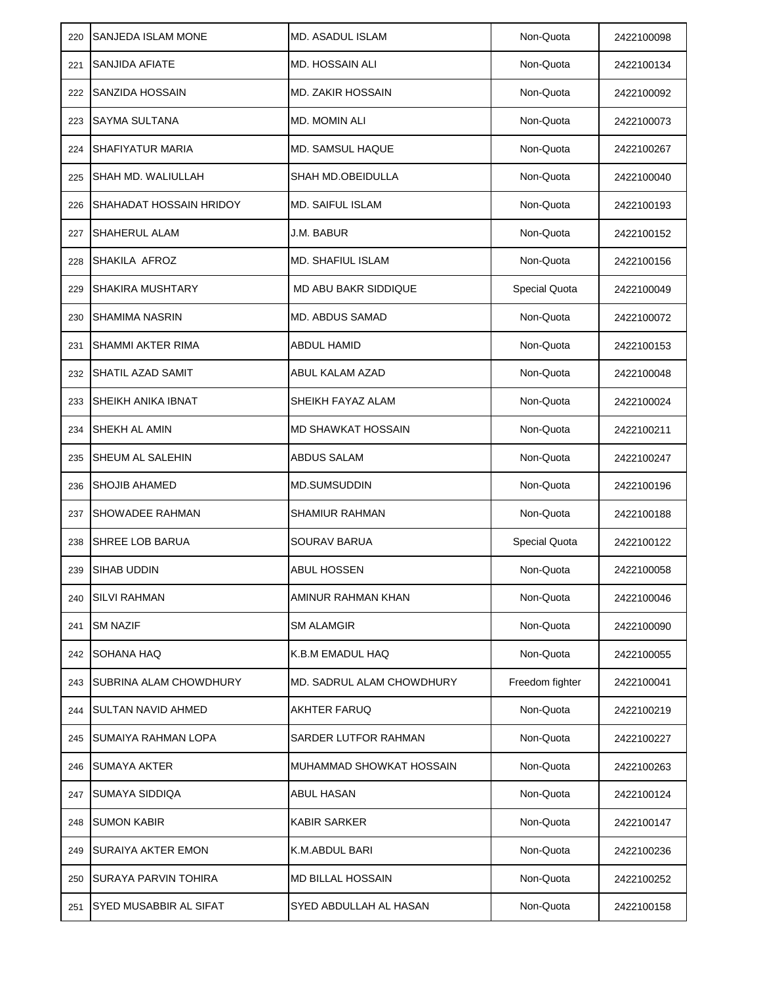| 220 | <b>SANJEDA ISLAM MONE</b>      | <b>MD. ASADUL ISLAM</b>   | Non-Quota            | 2422100098 |
|-----|--------------------------------|---------------------------|----------------------|------------|
| 221 | SANJIDA AFIATE                 | <b>MD. HOSSAIN ALI</b>    | Non-Quota            | 2422100134 |
| 222 | SANZIDA HOSSAIN                | <b>MD. ZAKIR HOSSAIN</b>  | Non-Quota            | 2422100092 |
| 223 | <b>SAYMA SULTANA</b>           | MD. MOMIN ALI             | Non-Quota            | 2422100073 |
| 224 | <b>SHAFIYATUR MARIA</b>        | MD. SAMSUL HAQUE          | Non-Quota            | 2422100267 |
| 225 | SHAH MD. WALIULLAH             | SHAH MD.OBEIDULLA         | Non-Quota            | 2422100040 |
| 226 | <b>SHAHADAT HOSSAIN HRIDOY</b> | <b>MD. SAIFUL ISLAM</b>   | Non-Quota            | 2422100193 |
| 227 | SHAHERUL ALAM                  | J.M. BABUR                | Non-Quota            | 2422100152 |
| 228 | SHAKILA AFROZ                  | <b>MD. SHAFIUL ISLAM</b>  | Non-Quota            | 2422100156 |
| 229 | <b>SHAKIRA MUSHTARY</b>        | MD ABU BAKR SIDDIQUE      | <b>Special Quota</b> | 2422100049 |
| 230 | <b>SHAMIMA NASRIN</b>          | <b>MD. ABDUS SAMAD</b>    | Non-Quota            | 2422100072 |
| 231 | <b>SHAMMI AKTER RIMA</b>       | ABDUL HAMID               | Non-Quota            | 2422100153 |
| 232 | SHATIL AZAD SAMIT              | ABUL KALAM AZAD           | Non-Quota            | 2422100048 |
| 233 | SHEIKH ANIKA IBNAT             | SHEIKH FAYAZ ALAM         | Non-Quota            | 2422100024 |
| 234 | <b>SHEKH AL AMIN</b>           | <b>MD SHAWKAT HOSSAIN</b> | Non-Quota            | 2422100211 |
| 235 | <b>SHEUM AL SALEHIN</b>        | <b>ABDUS SALAM</b>        | Non-Quota            | 2422100247 |
| 236 | <b>SHOJIB AHAMED</b>           | <b>MD.SUMSUDDIN</b>       | Non-Quota            | 2422100196 |
| 237 | <b>SHOWADEE RAHMAN</b>         | SHAMIUR RAHMAN            | Non-Quota            | 2422100188 |
| 238 | <b>SHREE LOB BARUA</b>         | SOURAV BARUA              | Special Quota        | 2422100122 |
| 239 | <b>SIHAB UDDIN</b>             | <b>ABUL HOSSEN</b>        | Non-Quota            | 2422100058 |
| 240 | <b>SILVI RAHMAN</b>            | AMINUR RAHMAN KHAN        | Non-Quota            | 2422100046 |
| 241 | <b>SM NAZIF</b>                | <b>SM ALAMGIR</b>         | Non-Quota            | 2422100090 |
| 242 | <b>SOHANA HAQ</b>              | K.B.M EMADUL HAQ          | Non-Quota            | 2422100055 |
| 243 | SUBRINA ALAM CHOWDHURY         | MD. SADRUL ALAM CHOWDHURY | Freedom fighter      | 2422100041 |
| 244 | <b>SULTAN NAVID AHMED</b>      | <b>AKHTER FARUQ</b>       | Non-Quota            | 2422100219 |
| 245 | SUMAIYA RAHMAN LOPA            | SARDER LUTFOR RAHMAN      | Non-Quota            | 2422100227 |
| 246 | <b>SUMAYA AKTER</b>            | MUHAMMAD SHOWKAT HOSSAIN  | Non-Quota            | 2422100263 |
| 247 | SUMAYA SIDDIQA                 | ABUL HASAN                | Non-Quota            | 2422100124 |
| 248 | <b>SUMON KABIR</b>             | <b>KABIR SARKER</b>       | Non-Quota            | 2422100147 |
| 249 | SURAIYA AKTER EMON             | K.M.ABDUL BARI            | Non-Quota            | 2422100236 |
| 250 | <b>SURAYA PARVIN TOHIRA</b>    | <b>MD BILLAL HOSSAIN</b>  | Non-Quota            | 2422100252 |
| 251 | SYED MUSABBIR AL SIFAT         | SYED ABDULLAH AL HASAN    | Non-Quota            | 2422100158 |